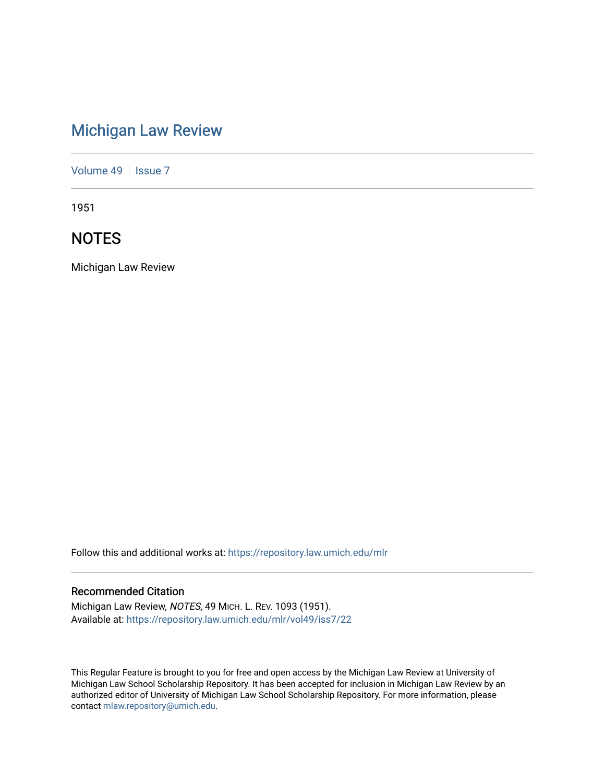# [Michigan Law Review](https://repository.law.umich.edu/mlr)

[Volume 49](https://repository.law.umich.edu/mlr/vol49) | [Issue 7](https://repository.law.umich.edu/mlr/vol49/iss7)

1951

## **NOTES**

Michigan Law Review

Follow this and additional works at: [https://repository.law.umich.edu/mlr](https://repository.law.umich.edu/mlr?utm_source=repository.law.umich.edu%2Fmlr%2Fvol49%2Fiss7%2F22&utm_medium=PDF&utm_campaign=PDFCoverPages) 

### Recommended Citation

Michigan Law Review, NOTES, 49 MICH. L. REV. 1093 (1951). Available at: [https://repository.law.umich.edu/mlr/vol49/iss7/22](https://repository.law.umich.edu/mlr/vol49/iss7/22?utm_source=repository.law.umich.edu%2Fmlr%2Fvol49%2Fiss7%2F22&utm_medium=PDF&utm_campaign=PDFCoverPages) 

This Regular Feature is brought to you for free and open access by the Michigan Law Review at University of Michigan Law School Scholarship Repository. It has been accepted for inclusion in Michigan Law Review by an authorized editor of University of Michigan Law School Scholarship Repository. For more information, please contact [mlaw.repository@umich.edu](mailto:mlaw.repository@umich.edu).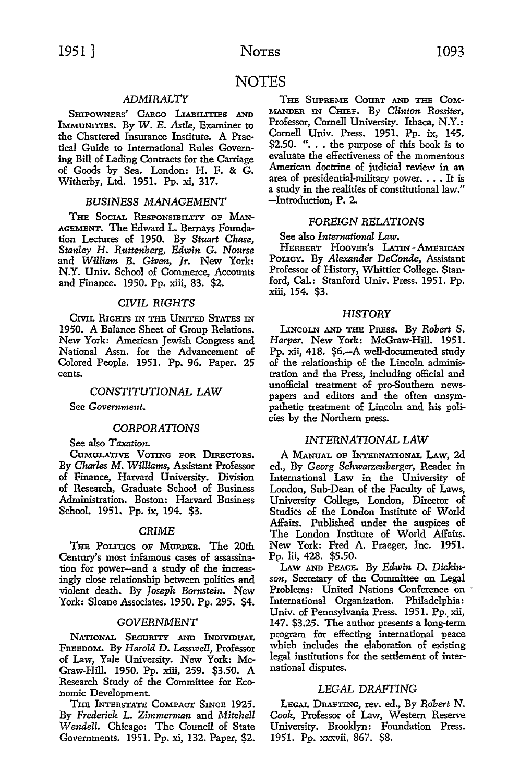### NOTES

#### *ADMIRALTY*

SHIPOWNERS' CARGO LIABILITIES AND IMMUNITIES. By *W.* E. *Astle,* Examiner to the Chartered Insurance Institute. A Practical Guide to International Rules Governing Bill of Lading Contracts for the Carriage of Goods by Sea. London: H. F. & **G.**  Witherby, Ltd. 1951. Pp. xi, 317.

#### *BUSINESS MANAGEMENT*

THE SOCIAL RESPONSIBILITY OF MAN-AGEMENT. The Edward L. Bernays Foundation Lectures of 1950. By Stuart Chase, *Stanley* H. *Ruttenberg, Edwin* G. *N011rse*  and *William B. Given, Jr.* New York: N.Y. Univ. School of Commerce, Accounts and Finance. 1950. Pp. xiii, 83. \$2.

#### *CIVIL RIGHTS*

CIVIL RIGHTS IN THE UNITED STATES IN 1950. A Balance Sheet of Group Relations. New York: American Jewish Congress and National Assn. for the Advancement of Colored People. 1951. Pp. 96. Paper. **25**  cents.

#### *CONSTITUTIONAL LAW*

See *Government.* 

#### *CORPORATIONS*

See also *Taxation.* 

CUMULATIVE VOTING POR DIRECTORS. By *Charles M. Williams,* Assistant Professor of Finance, Harvard University. Division of Research, Graduate School of Business Administration. Boston: Harvard Business School. 1951. Pp. ix, 194. \$3.

#### *CRIME*

THE POLITICS OF MURDER. The 20th Century's most infamous cases of assassination for power-and a study of the increasingly close relationship between politics and violent death. By *Joseph Bornstein.* New York: Sloane Associates. 1950. Pp. 295. \$4.

#### *GOVERNMENT*

NATIONAL SECURITY AND INDIVIDUAL FREEDOM. By *Harold* D. *Lasswell,* Professor of Law, Yale University. New York: Mc-Graw-Hill. 1950. Pp. xiii, 259. \$3.50. A Research Study of the Committee for Economic Development.

THE INTERSTATE COMPACT SINCE 1925. By *Frederick* L. *Zimmerman* and *Mitchell \'\l endell.* Chicago: The Council of State Governments. 1951. Pp. xi, 132. Paper, \$2.

THE SUPREME CounT AND THE CoM- :MANDER IN CHIEF. By *Clinton Rossiter,*  Professor, Cornell University. Ithaca, N.Y.: Cornell Univ. Press. 1951. Pp. ix, 145. \$2.50. " $\dots$  the purpose of this book is to evaluate the effectiveness of the momentous American doctrine of judicial review in an area of presidential-military power.  $\ldots$  It is a study in the realities of constitutional law." -Introduction, P. 2.

#### FOREIGN *RELATIONS*

#### See also *International Law.*

HERBERT HOOVER'S LATIN - AMERICAN POLICY. By *Alexander DeConde,* Assistant Professor of History, Whittier College. Stanford, Cal.: Stanford Univ. Press. 1951. Pp. xiii, 154. \$3.

#### *HISTORY*

LINCOLN AND THE PREss. By *Robert* S. *Harper.* New York: McGraw-Hill. 1951. Pp. xii, 418. \$6.-A well-documented study of the relationship of the Lincoln administration and the Press, including official and unofficial treatment of pro-Southern newspapers and editors and the often unsympathetic treatment of Lincoln and his policies by the Northern press.

#### *INTERNATIONAL LAW*

A MANuAL OP INTERNATIONAL LAW, 2d ed., By *Georg Schwarzenberger,* Reader in International Law in the University of London, Sub-Dean of the Faculty of Laws, University College, London, Director of Studies of the London Institute of World Affairs. Published under the auspices of The London Institute of World Affairs. New York: Fred A. Praeger, Inc. 1951. Pp. Iii, 428. \$5.50.

LAw AND PEACE. By *Edwin* D. *Dickinson,* Secretary of the Committee on Legal Problems: United Nations Conference on· International Organization. Philadelphia: Univ. of Pennsylvania Press. 1951. Pp. xii, 147. \$3.25. The author presents a long-term program for effecting international peace which includes the elaboration of existing legal institutions for the settlement of international disputes.

#### *LEGAL DRAFTING*

LEGAL DRAFTING, rev. ed., By *Robert* N. *Cook,* Professor of Law, Western Reserve University. Brooklyn: Foundation Press. 1951. Pp. xxxvii, 867. \$8.